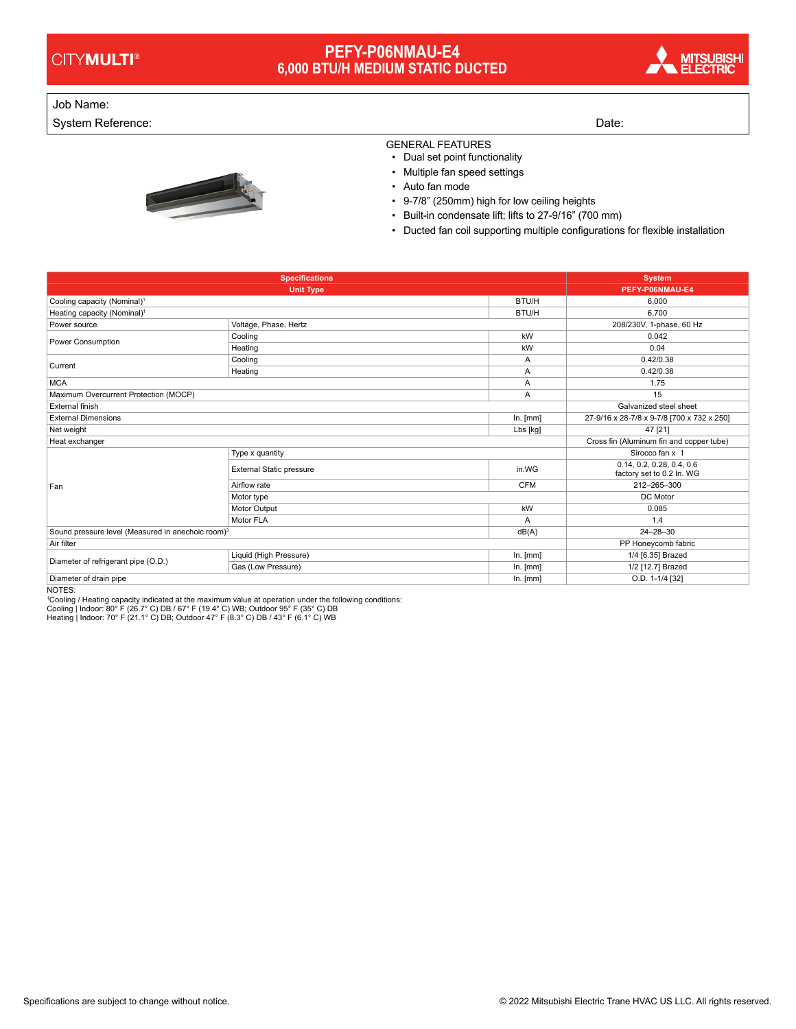## **PEFY-P06NMAU-E4 6,000 BTU/H MEDIUM STATIC DUCTED**



## Job Name:

System Reference: Date: Date: Date: Date: Date: Date: Date: Date: Date: Date: Date: Date: Date: Date: Date: Date: Date: Date: Date: Date: Date: Date: Date: Date: Date: Date: Date: Date: Date: Date: Date: Date: Date: Date:



GENERAL FEATURES

• Dual set point functionality

- Multiple fan speed settings
- Auto fan mode
- 9-7/8" (250mm) high for low ceiling heights
- Built-in condensate lift; lifts to 27-9/16" (700 mm)
- Ducted fan coil supporting multiple configurations for flexible installation

| <b>Specifications</b>                                                  |                                 |                                          | <b>System</b>                                          |
|------------------------------------------------------------------------|---------------------------------|------------------------------------------|--------------------------------------------------------|
|                                                                        | <b>Unit Type</b>                |                                          | PEFY-P06NMAU-E4                                        |
| Cooling capacity (Nominal) <sup>1</sup>                                |                                 | BTU/H                                    | 6,000                                                  |
| Heating capacity (Nominal) <sup>1</sup>                                |                                 | BTU/H                                    | 6.700                                                  |
| Power source                                                           | Voltage, Phase, Hertz           |                                          | 208/230V, 1-phase, 60 Hz                               |
| Power Consumption                                                      | Cooling                         | kW                                       | 0.042                                                  |
|                                                                        | Heating                         | kW                                       | 0.04                                                   |
| Current                                                                | Cooling                         | A                                        | 0.42/0.38                                              |
|                                                                        | Heating                         | Α                                        | 0.42/0.38                                              |
| <b>MCA</b>                                                             |                                 | Α                                        | 1.75                                                   |
| Maximum Overcurrent Protection (MOCP)                                  |                                 | A                                        | 15                                                     |
| External finish                                                        |                                 |                                          | Galvanized steel sheet                                 |
| <b>External Dimensions</b>                                             |                                 | In. [mm]                                 | 27-9/16 x 28-7/8 x 9-7/8 [700 x 732 x 250]             |
| Net weight                                                             |                                 | Lbs [kg]                                 | 47 [21]                                                |
| Heat exchanger                                                         |                                 | Cross fin (Aluminum fin and copper tube) |                                                        |
| Fan                                                                    | Type x quantity                 |                                          |                                                        |
|                                                                        | <b>External Static pressure</b> | in.WG                                    | 0.14, 0.2, 0.28, 0.4, 0.6<br>factory set to 0.2 In. WG |
|                                                                        | Airflow rate                    | <b>CFM</b>                               | 212-265-300                                            |
|                                                                        | Motor type                      |                                          | DC Motor                                               |
|                                                                        | Motor Output                    | kW                                       | 0.085                                                  |
|                                                                        | Motor FLA                       | A                                        | 1.4                                                    |
| Sound pressure level (Measured in anechoic room) <sup>3</sup><br>dB(A) |                                 |                                          | $24 - 28 - 30$                                         |
| Air filter                                                             |                                 |                                          | PP Honeycomb fabric                                    |
|                                                                        | Liquid (High Pressure)          | In. [mm]                                 | 1/4 [6.35] Brazed                                      |
| Diameter of refrigerant pipe (O.D.)                                    | Gas (Low Pressure)              | In. [mm]                                 | 1/2 [12.7] Brazed                                      |
| Diameter of drain pipe                                                 |                                 | In. [mm]                                 | O.D. 1-1/4 [32]                                        |

NOTES:

'Cooling / Heating capacity indicated at the maximum value at operation under the following conditions:<br>Cooling | Indoor: 80° F (26.7° C) DB / 67° F (19.4° C) WB; Outdoor 95° F (35° C) DB<br>Heating | Indoor: 70° F (21.1° C)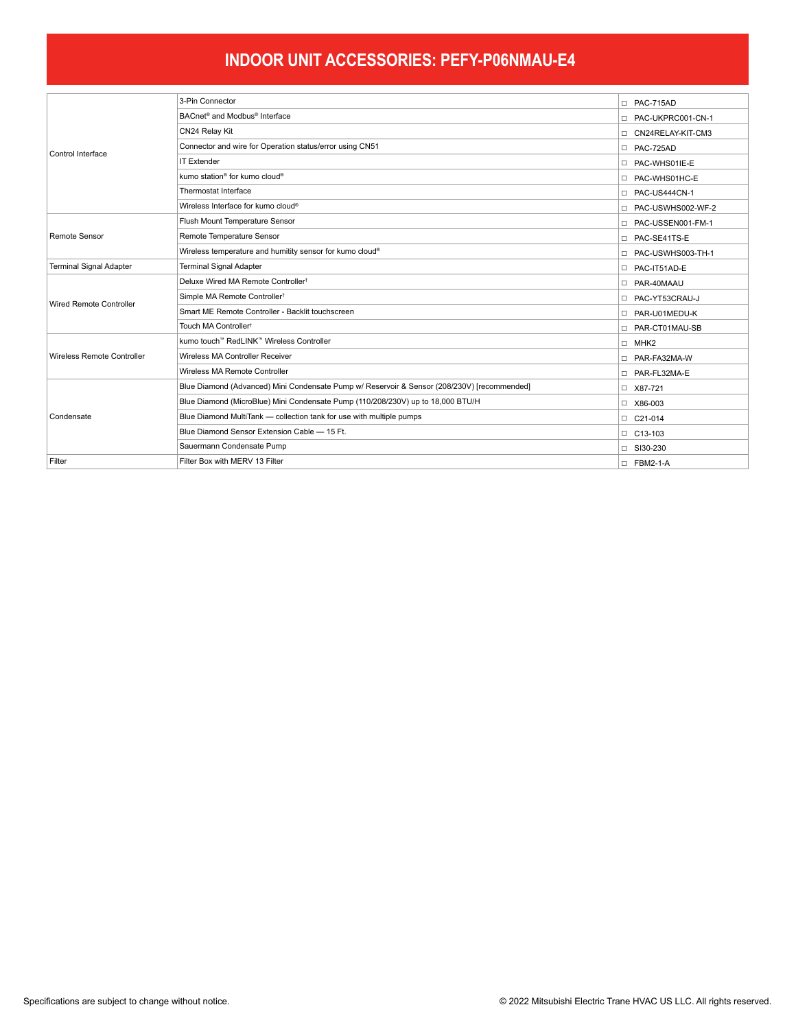## **INDOOR UNIT ACCESSORIES: PEFY-P06NMAU-E4**

| Control Interface              | 3-Pin Connector                                                                             | D PAC-715AD         |
|--------------------------------|---------------------------------------------------------------------------------------------|---------------------|
|                                | BACnet <sup>®</sup> and Modbus <sup>®</sup> Interface                                       | D PAC-UKPRC001-CN-1 |
|                                | CN24 Relay Kit                                                                              | CN24RELAY-KIT-CM3   |
|                                | Connector and wire for Operation status/error using CN51                                    | D PAC-725AD         |
|                                | <b>IT Extender</b>                                                                          | D PAC-WHS01IE-E     |
|                                | kumo station <sup>®</sup> for kumo cloud <sup>®</sup>                                       | D PAC-WHS01HC-E     |
|                                | Thermostat Interface                                                                        | D PAC-US444CN-1     |
|                                | Wireless Interface for kumo cloud®                                                          | D PAC-USWHS002-WF-2 |
| Remote Sensor                  | Flush Mount Temperature Sensor                                                              | D PAC-USSEN001-FM-1 |
|                                | Remote Temperature Sensor                                                                   | D PAC-SE41TS-E      |
|                                | Wireless temperature and humitity sensor for kumo cloud®                                    | D PAC-USWHS003-TH-1 |
| <b>Terminal Signal Adapter</b> | <b>Terminal Signal Adapter</b>                                                              | D PAC-IT51AD-E      |
| Wired Remote Controller        | Deluxe Wired MA Remote Controller <sup>t</sup>                                              | D PAR-40MAAU        |
|                                | Simple MA Remote Controller <sup>t</sup>                                                    | D PAC-YT53CRAU-J    |
|                                | Smart ME Remote Controller - Backlit touchscreen                                            | D PAR-U01MEDU-K     |
|                                | Touch MA Controller <sup>†</sup>                                                            | D PAR-CT01MAU-SB    |
| Wireless Remote Controller     | kumo touch™ RedLINK™ Wireless Controller                                                    | $\Box$ MHK2         |
|                                | Wireless MA Controller Receiver                                                             | D PAR-FA32MA-W      |
|                                | Wireless MA Remote Controller                                                               | □ PAR-FL32MA-E      |
| Condensate                     | Blue Diamond (Advanced) Mini Condensate Pump w/ Reservoir & Sensor (208/230V) [recommended] | □ X87-721           |
|                                | Blue Diamond (MicroBlue) Mini Condensate Pump (110/208/230V) up to 18,000 BTU/H             | □ X86-003           |
|                                | Blue Diamond MultiTank - collection tank for use with multiple pumps                        | $\Box$ C21-014      |
|                                | Blue Diamond Sensor Extension Cable - 15 Ft.                                                | □ C13-103           |
|                                | Sauermann Condensate Pump                                                                   | □ SI30-230          |
| Filter                         | Filter Box with MERV 13 Filter                                                              | $\Box$ FBM2-1-A     |